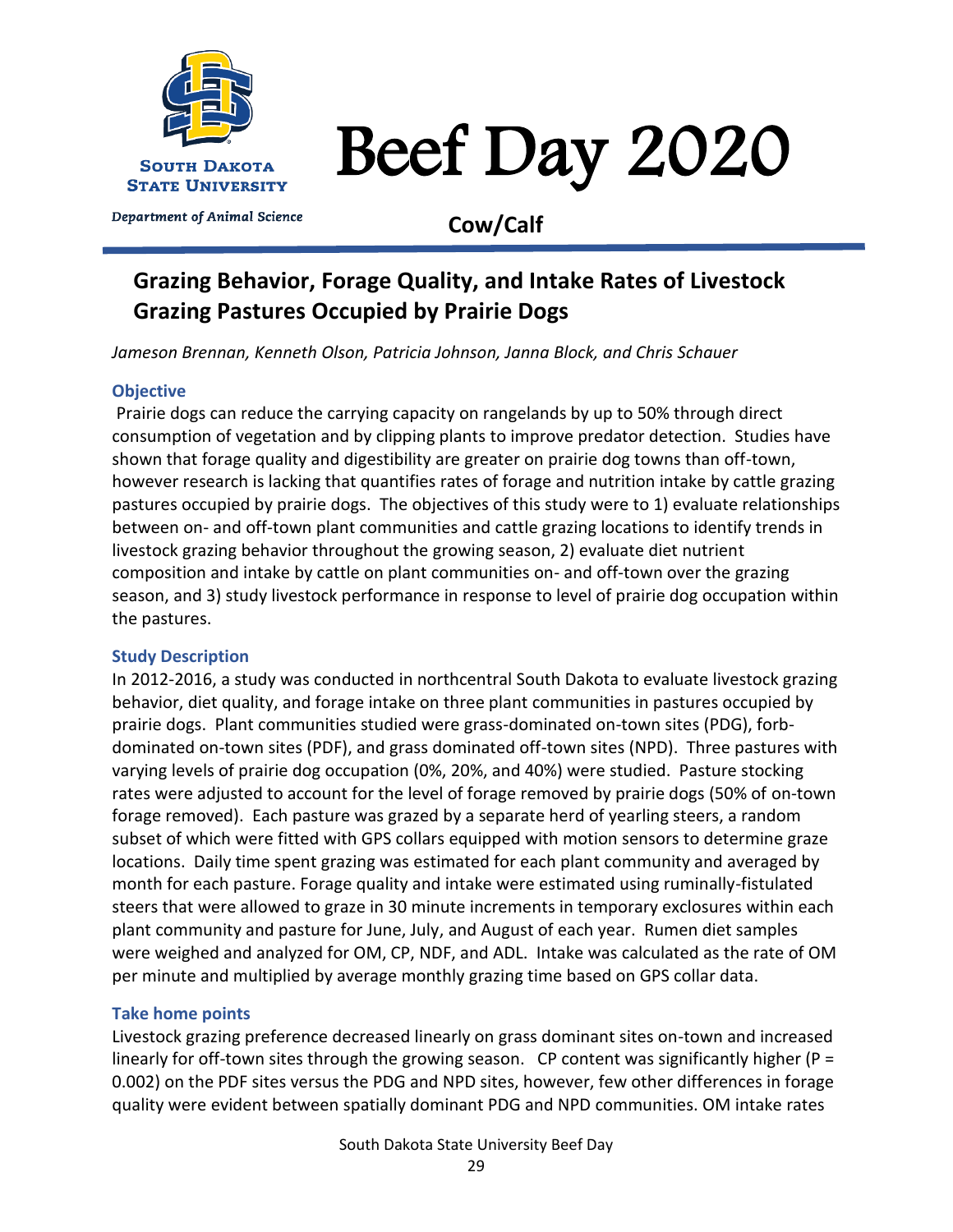

# Beef Day 2020

# **Cow/Calf**

# **Grazing Behavior, Forage Quality, and Intake Rates of Livestock Grazing Pastures Occupied by Prairie Dogs**

*Jameson Brennan, Kenneth Olson, Patricia Johnson, Janna Block, and Chris Schauer*

## **Objective**

Prairie dogs can reduce the carrying capacity on rangelands by up to 50% through direct consumption of vegetation and by clipping plants to improve predator detection. Studies have shown that forage quality and digestibility are greater on prairie dog towns than off-town, however research is lacking that quantifies rates of forage and nutrition intake by cattle grazing pastures occupied by prairie dogs. The objectives of this study were to 1) evaluate relationships between on- and off-town plant communities and cattle grazing locations to identify trends in livestock grazing behavior throughout the growing season, 2) evaluate diet nutrient composition and intake by cattle on plant communities on- and off-town over the grazing season, and 3) study livestock performance in response to level of prairie dog occupation within the pastures.

#### **Study Description**

In 2012-2016, a study was conducted in northcentral South Dakota to evaluate livestock grazing behavior, diet quality, and forage intake on three plant communities in pastures occupied by prairie dogs. Plant communities studied were grass-dominated on-town sites (PDG), forbdominated on-town sites (PDF), and grass dominated off-town sites (NPD). Three pastures with varying levels of prairie dog occupation (0%, 20%, and 40%) were studied. Pasture stocking rates were adjusted to account for the level of forage removed by prairie dogs (50% of on-town forage removed). Each pasture was grazed by a separate herd of yearling steers, a random subset of which were fitted with GPS collars equipped with motion sensors to determine graze locations. Daily time spent grazing was estimated for each plant community and averaged by month for each pasture. Forage quality and intake were estimated using ruminally-fistulated steers that were allowed to graze in 30 minute increments in temporary exclosures within each plant community and pasture for June, July, and August of each year. Rumen diet samples were weighed and analyzed for OM, CP, NDF, and ADL. Intake was calculated as the rate of OM per minute and multiplied by average monthly grazing time based on GPS collar data.

## **Take home points**

Livestock grazing preference decreased linearly on grass dominant sites on-town and increased linearly for off-town sites through the growing season. CP content was significantly higher (P = 0.002) on the PDF sites versus the PDG and NPD sites, however, few other differences in forage quality were evident between spatially dominant PDG and NPD communities. OM intake rates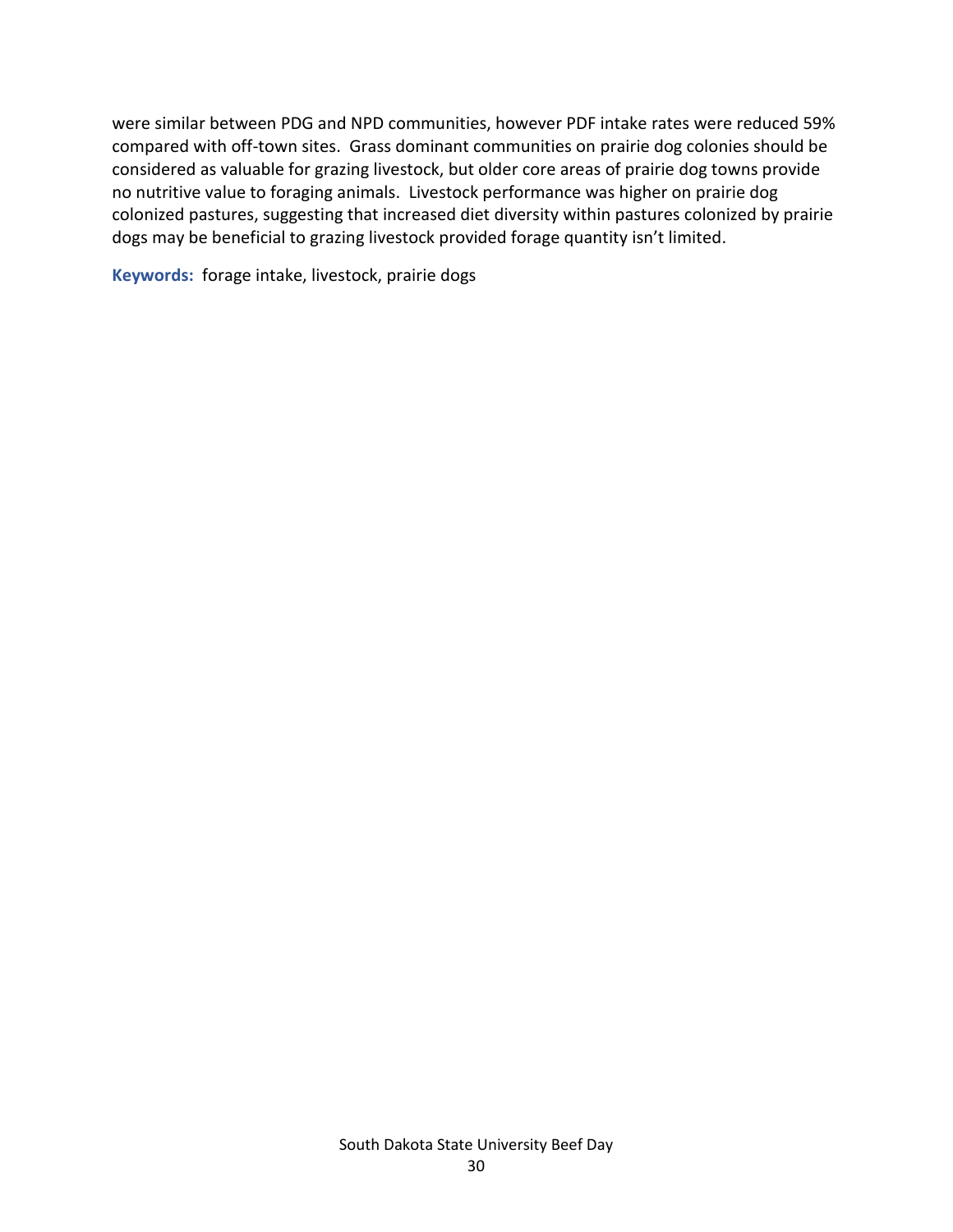were similar between PDG and NPD communities, however PDF intake rates were reduced 59% compared with off-town sites. Grass dominant communities on prairie dog colonies should be considered as valuable for grazing livestock, but older core areas of prairie dog towns provide no nutritive value to foraging animals. Livestock performance was higher on prairie dog colonized pastures, suggesting that increased diet diversity within pastures colonized by prairie dogs may be beneficial to grazing livestock provided forage quantity isn't limited.

**Keywords:** forage intake, livestock, prairie dogs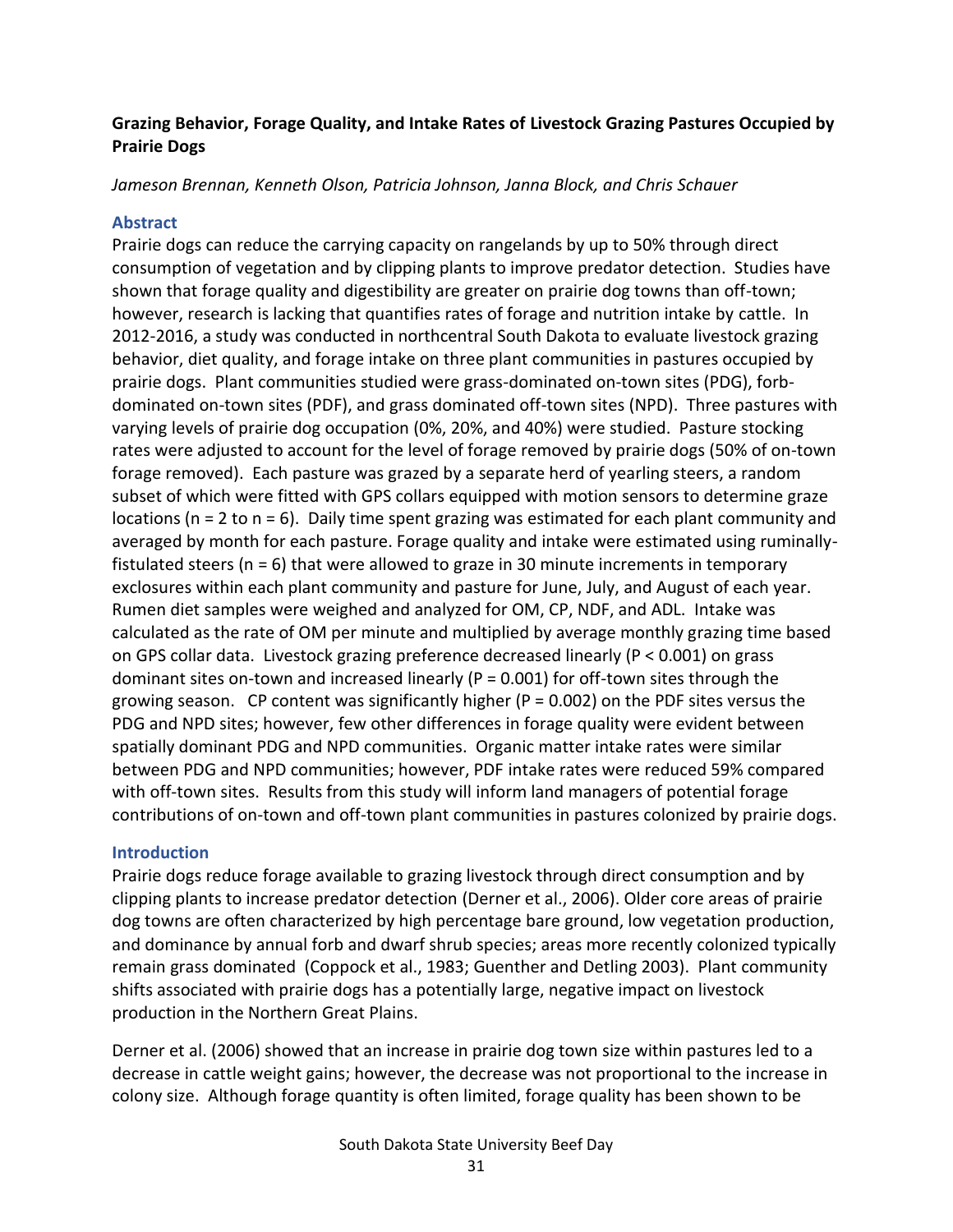### **Grazing Behavior, Forage Quality, and Intake Rates of Livestock Grazing Pastures Occupied by Prairie Dogs**

*Jameson Brennan, Kenneth Olson, Patricia Johnson, Janna Block, and Chris Schauer*

#### **Abstract**

Prairie dogs can reduce the carrying capacity on rangelands by up to 50% through direct consumption of vegetation and by clipping plants to improve predator detection. Studies have shown that forage quality and digestibility are greater on prairie dog towns than off-town; however, research is lacking that quantifies rates of forage and nutrition intake by cattle. In 2012-2016, a study was conducted in northcentral South Dakota to evaluate livestock grazing behavior, diet quality, and forage intake on three plant communities in pastures occupied by prairie dogs. Plant communities studied were grass-dominated on-town sites (PDG), forbdominated on-town sites (PDF), and grass dominated off-town sites (NPD). Three pastures with varying levels of prairie dog occupation (0%, 20%, and 40%) were studied. Pasture stocking rates were adjusted to account for the level of forage removed by prairie dogs (50% of on-town forage removed). Each pasture was grazed by a separate herd of yearling steers, a random subset of which were fitted with GPS collars equipped with motion sensors to determine graze locations ( $n = 2$  to  $n = 6$ ). Daily time spent grazing was estimated for each plant community and averaged by month for each pasture. Forage quality and intake were estimated using ruminallyfistulated steers (n = 6) that were allowed to graze in 30 minute increments in temporary exclosures within each plant community and pasture for June, July, and August of each year. Rumen diet samples were weighed and analyzed for OM, CP, NDF, and ADL. Intake was calculated as the rate of OM per minute and multiplied by average monthly grazing time based on GPS collar data. Livestock grazing preference decreased linearly (P < 0.001) on grass dominant sites on-town and increased linearly ( $P = 0.001$ ) for off-town sites through the growing season. CP content was significantly higher ( $P = 0.002$ ) on the PDF sites versus the PDG and NPD sites; however, few other differences in forage quality were evident between spatially dominant PDG and NPD communities. Organic matter intake rates were similar between PDG and NPD communities; however, PDF intake rates were reduced 59% compared with off-town sites. Results from this study will inform land managers of potential forage contributions of on-town and off-town plant communities in pastures colonized by prairie dogs.

#### **Introduction**

Prairie dogs reduce forage available to grazing livestock through direct consumption and by clipping plants to increase predator detection (Derner et al., 2006). Older core areas of prairie dog towns are often characterized by high percentage bare ground, low vegetation production, and dominance by annual forb and dwarf shrub species; areas more recently colonized typically remain grass dominated (Coppock et al., 1983; Guenther and Detling 2003). Plant community shifts associated with prairie dogs has a potentially large, negative impact on livestock production in the Northern Great Plains.

Derner et al. (2006) showed that an increase in prairie dog town size within pastures led to a decrease in cattle weight gains; however, the decrease was not proportional to the increase in colony size. Although forage quantity is often limited, forage quality has been shown to be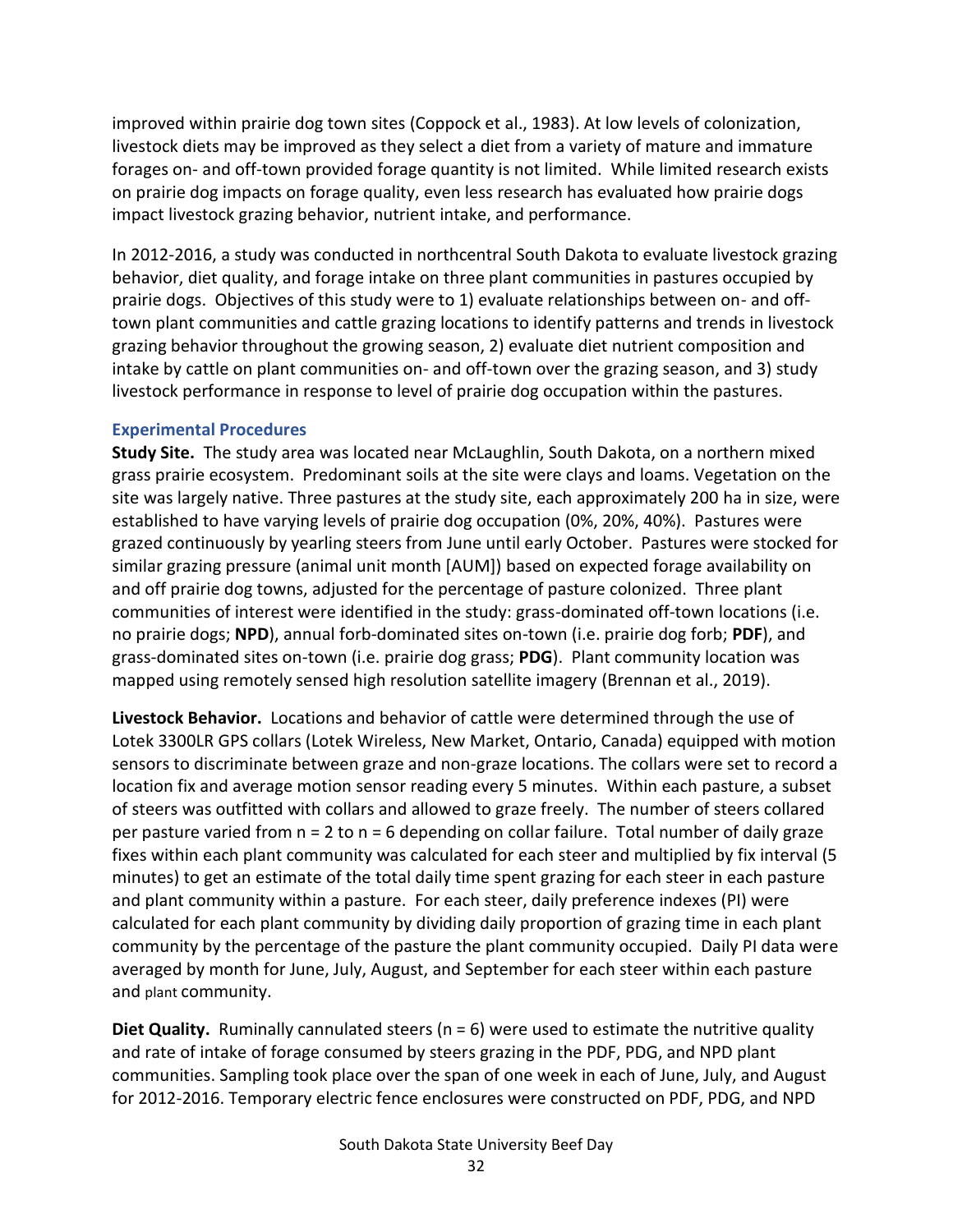improved within prairie dog town sites (Coppock et al., 1983). At low levels of colonization, livestock diets may be improved as they select a diet from a variety of mature and immature forages on- and off-town provided forage quantity is not limited. While limited research exists on prairie dog impacts on forage quality, even less research has evaluated how prairie dogs impact livestock grazing behavior, nutrient intake, and performance.

In 2012-2016, a study was conducted in northcentral South Dakota to evaluate livestock grazing behavior, diet quality, and forage intake on three plant communities in pastures occupied by prairie dogs. Objectives of this study were to 1) evaluate relationships between on- and offtown plant communities and cattle grazing locations to identify patterns and trends in livestock grazing behavior throughout the growing season, 2) evaluate diet nutrient composition and intake by cattle on plant communities on- and off-town over the grazing season, and 3) study livestock performance in response to level of prairie dog occupation within the pastures.

#### **Experimental Procedures**

**Study Site.** The study area was located near McLaughlin, South Dakota, on a northern mixed grass prairie ecosystem. Predominant soils at the site were clays and loams. Vegetation on the site was largely native. Three pastures at the study site, each approximately 200 ha in size, were established to have varying levels of prairie dog occupation (0%, 20%, 40%). Pastures were grazed continuously by yearling steers from June until early October. Pastures were stocked for similar grazing pressure (animal unit month [AUM]) based on expected forage availability on and off prairie dog towns, adjusted for the percentage of pasture colonized. Three plant communities of interest were identified in the study: grass-dominated off-town locations (i.e. no prairie dogs; **NPD**), annual forb-dominated sites on-town (i.e. prairie dog forb; **PDF**), and grass-dominated sites on-town (i.e. prairie dog grass; **PDG**). Plant community location was mapped using remotely sensed high resolution satellite imagery (Brennan et al., 2019).

**Livestock Behavior.** Locations and behavior of cattle were determined through the use of Lotek 3300LR GPS collars (Lotek Wireless, New Market, Ontario, Canada) equipped with motion sensors to discriminate between graze and non-graze locations. The collars were set to record a location fix and average motion sensor reading every 5 minutes. Within each pasture, a subset of steers was outfitted with collars and allowed to graze freely. The number of steers collared per pasture varied from n = 2 to n = 6 depending on collar failure. Total number of daily graze fixes within each plant community was calculated for each steer and multiplied by fix interval (5 minutes) to get an estimate of the total daily time spent grazing for each steer in each pasture and plant community within a pasture. For each steer, daily preference indexes (PI) were calculated for each plant community by dividing daily proportion of grazing time in each plant community by the percentage of the pasture the plant community occupied. Daily PI data were averaged by month for June, July, August, and September for each steer within each pasture and plant community.

**Diet Quality.** Ruminally cannulated steers (n = 6) were used to estimate the nutritive quality and rate of intake of forage consumed by steers grazing in the PDF, PDG, and NPD plant communities. Sampling took place over the span of one week in each of June, July, and August for 2012-2016. Temporary electric fence enclosures were constructed on PDF, PDG, and NPD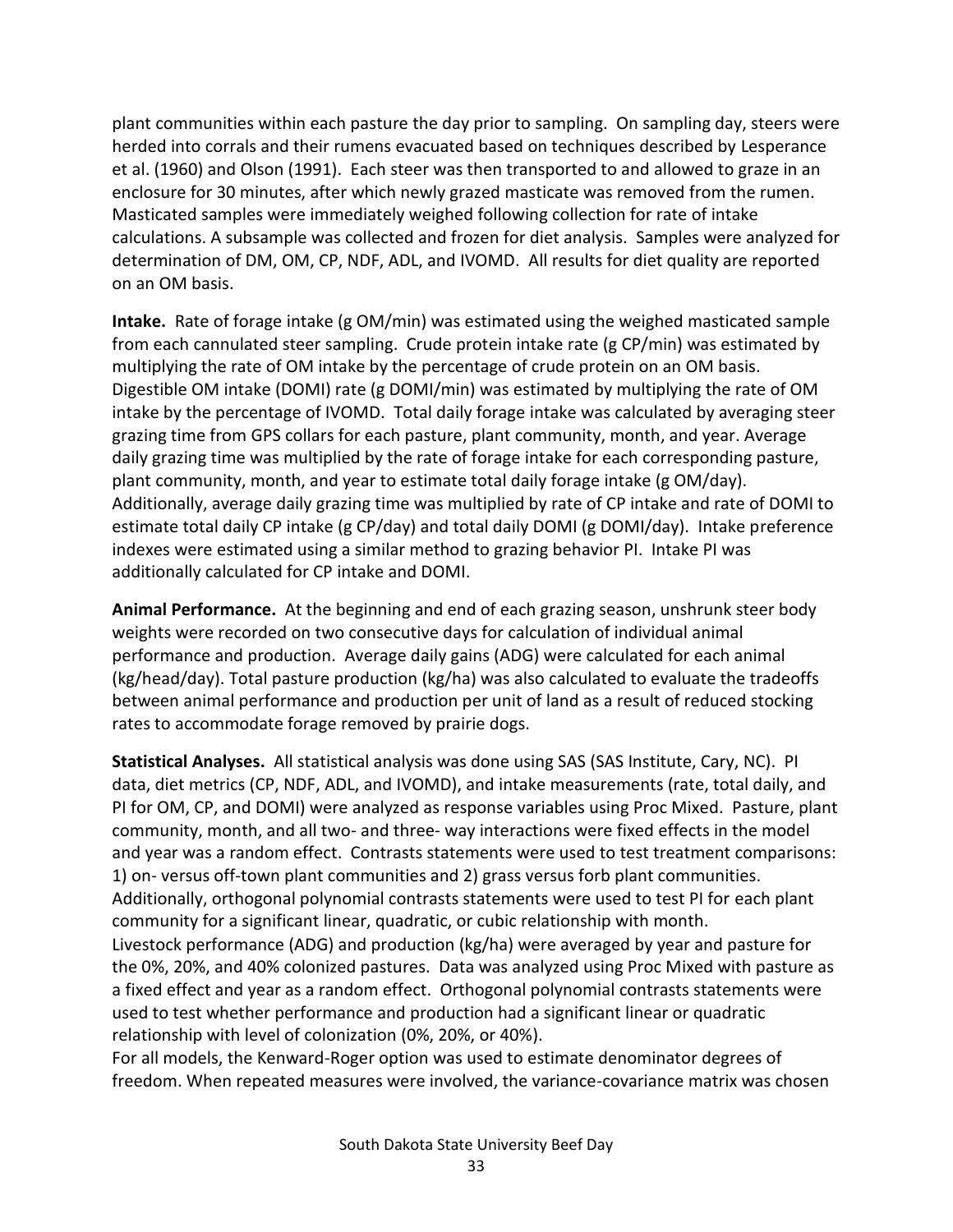plant communities within each pasture the day prior to sampling. On sampling day, steers were herded into corrals and their rumens evacuated based on techniques described by Lesperance et al. (1960) and Olson (1991). Each steer was then transported to and allowed to graze in an enclosure for 30 minutes, after which newly grazed masticate was removed from the rumen. Masticated samples were immediately weighed following collection for rate of intake calculations. A subsample was collected and frozen for diet analysis. Samples were analyzed for determination of DM, OM, CP, NDF, ADL, and IVOMD. All results for diet quality are reported on an OM basis.

**Intake.** Rate of forage intake (g OM/min) was estimated using the weighed masticated sample from each cannulated steer sampling. Crude protein intake rate (g CP/min) was estimated by multiplying the rate of OM intake by the percentage of crude protein on an OM basis. Digestible OM intake (DOMI) rate (g DOMI/min) was estimated by multiplying the rate of OM intake by the percentage of IVOMD. Total daily forage intake was calculated by averaging steer grazing time from GPS collars for each pasture, plant community, month, and year. Average daily grazing time was multiplied by the rate of forage intake for each corresponding pasture, plant community, month, and year to estimate total daily forage intake (g OM/day). Additionally, average daily grazing time was multiplied by rate of CP intake and rate of DOMI to estimate total daily CP intake (g CP/day) and total daily DOMI (g DOMI/day). Intake preference indexes were estimated using a similar method to grazing behavior PI. Intake PI was additionally calculated for CP intake and DOMI.

**Animal Performance.** At the beginning and end of each grazing season, unshrunk steer body weights were recorded on two consecutive days for calculation of individual animal performance and production. Average daily gains (ADG) were calculated for each animal (kg/head/day). Total pasture production (kg/ha) was also calculated to evaluate the tradeoffs between animal performance and production per unit of land as a result of reduced stocking rates to accommodate forage removed by prairie dogs.

**Statistical Analyses.** All statistical analysis was done using SAS (SAS Institute, Cary, NC). PI data, diet metrics (CP, NDF, ADL, and IVOMD), and intake measurements (rate, total daily, and PI for OM, CP, and DOMI) were analyzed as response variables using Proc Mixed. Pasture, plant community, month, and all two- and three- way interactions were fixed effects in the model and year was a random effect. Contrasts statements were used to test treatment comparisons: 1) on- versus off-town plant communities and 2) grass versus forb plant communities. Additionally, orthogonal polynomial contrasts statements were used to test PI for each plant community for a significant linear, quadratic, or cubic relationship with month. Livestock performance (ADG) and production (kg/ha) were averaged by year and pasture for the 0%, 20%, and 40% colonized pastures. Data was analyzed using Proc Mixed with pasture as a fixed effect and year as a random effect. Orthogonal polynomial contrasts statements were used to test whether performance and production had a significant linear or quadratic relationship with level of colonization (0%, 20%, or 40%).

For all models, the Kenward-Roger option was used to estimate denominator degrees of freedom. When repeated measures were involved, the variance-covariance matrix was chosen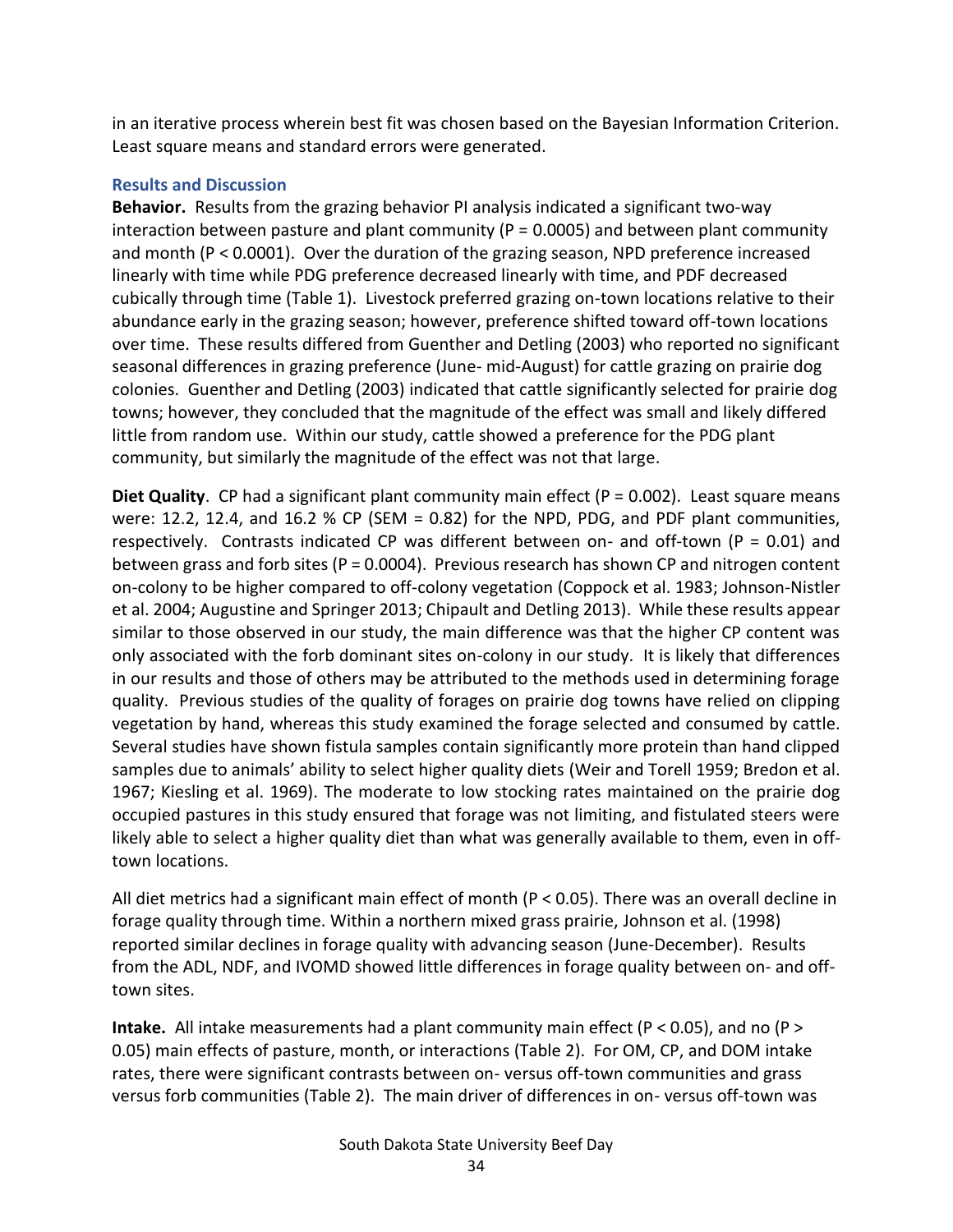in an iterative process wherein best fit was chosen based on the Bayesian Information Criterion. Least square means and standard errors were generated.

#### **Results and Discussion**

**Behavior.** Results from the grazing behavior PI analysis indicated a significant two-way interaction between pasture and plant community ( $P = 0.0005$ ) and between plant community and month (P < 0.0001). Over the duration of the grazing season, NPD preference increased linearly with time while PDG preference decreased linearly with time, and PDF decreased cubically through time (Table 1). Livestock preferred grazing on-town locations relative to their abundance early in the grazing season; however, preference shifted toward off-town locations over time. These results differed from Guenther and Detling (2003) who reported no significant seasonal differences in grazing preference (June- mid-August) for cattle grazing on prairie dog colonies. Guenther and Detling (2003) indicated that cattle significantly selected for prairie dog towns; however, they concluded that the magnitude of the effect was small and likely differed little from random use. Within our study, cattle showed a preference for the PDG plant community, but similarly the magnitude of the effect was not that large.

**Diet Quality**. CP had a significant plant community main effect (P = 0.002). Least square means were: 12.2, 12.4, and 16.2 % CP (SEM = 0.82) for the NPD, PDG, and PDF plant communities, respectively. Contrasts indicated CP was different between on- and off-town ( $P = 0.01$ ) and between grass and forb sites (P = 0.0004). Previous research has shown CP and nitrogen content on-colony to be higher compared to off-colony vegetation (Coppock et al. 1983; Johnson-Nistler et al. 2004; Augustine and Springer 2013; Chipault and Detling 2013). While these results appear similar to those observed in our study, the main difference was that the higher CP content was only associated with the forb dominant sites on-colony in our study. It is likely that differences in our results and those of others may be attributed to the methods used in determining forage quality. Previous studies of the quality of forages on prairie dog towns have relied on clipping vegetation by hand, whereas this study examined the forage selected and consumed by cattle. Several studies have shown fistula samples contain significantly more protein than hand clipped samples due to animals' ability to select higher quality diets (Weir and Torell 1959; Bredon et al. 1967; Kiesling et al. 1969). The moderate to low stocking rates maintained on the prairie dog occupied pastures in this study ensured that forage was not limiting, and fistulated steers were likely able to select a higher quality diet than what was generally available to them, even in offtown locations.

All diet metrics had a significant main effect of month ( $P < 0.05$ ). There was an overall decline in forage quality through time. Within a northern mixed grass prairie, Johnson et al. (1998) reported similar declines in forage quality with advancing season (June-December). Results from the ADL, NDF, and IVOMD showed little differences in forage quality between on- and offtown sites.

**Intake.** All intake measurements had a plant community main effect (P < 0.05), and no (P > 0.05) main effects of pasture, month, or interactions (Table 2). For OM, CP, and DOM intake rates, there were significant contrasts between on- versus off-town communities and grass versus forb communities (Table 2). The main driver of differences in on- versus off-town was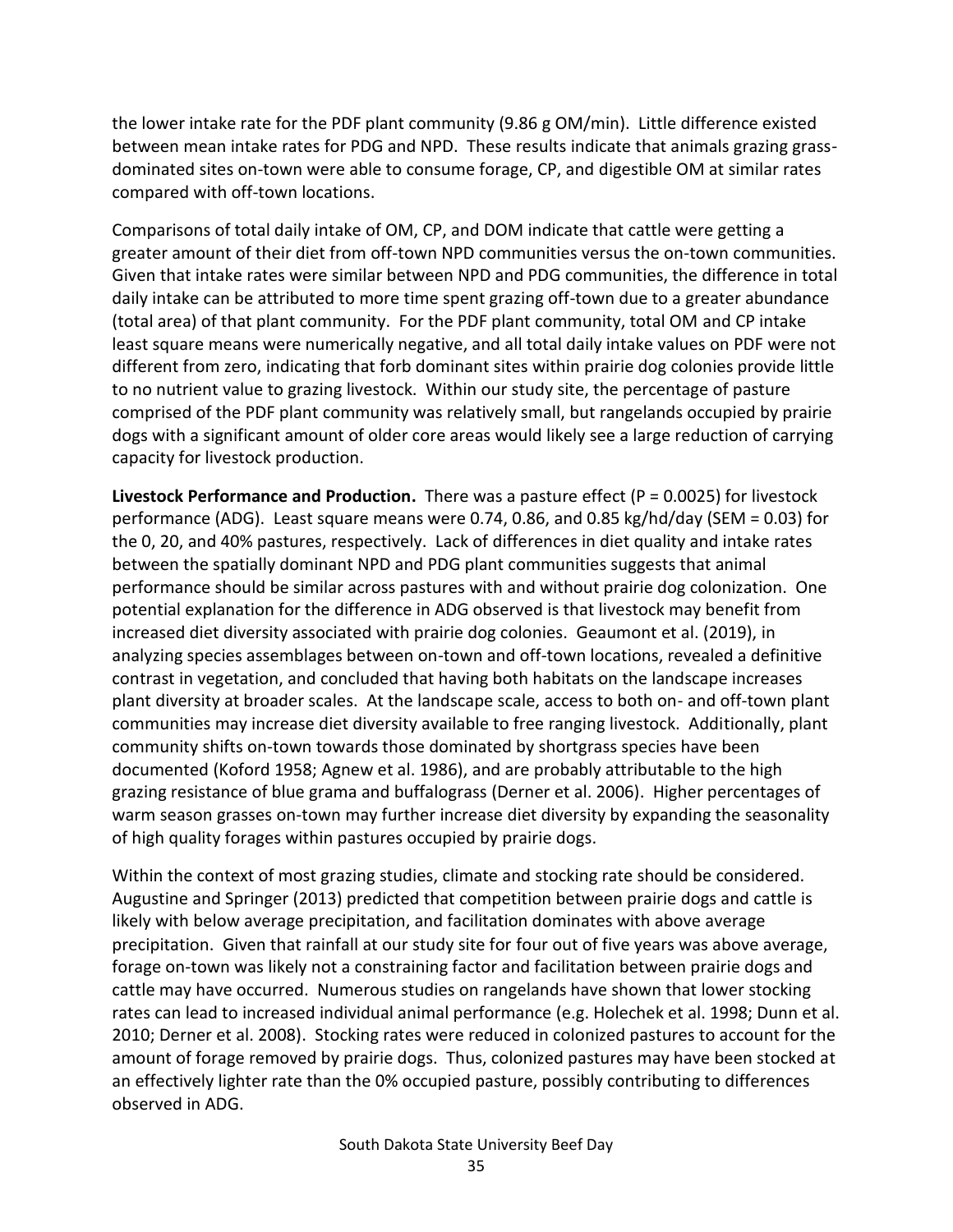the lower intake rate for the PDF plant community (9.86 g OM/min). Little difference existed between mean intake rates for PDG and NPD. These results indicate that animals grazing grassdominated sites on-town were able to consume forage, CP, and digestible OM at similar rates compared with off-town locations.

Comparisons of total daily intake of OM, CP, and DOM indicate that cattle were getting a greater amount of their diet from off-town NPD communities versus the on-town communities. Given that intake rates were similar between NPD and PDG communities, the difference in total daily intake can be attributed to more time spent grazing off-town due to a greater abundance (total area) of that plant community. For the PDF plant community, total OM and CP intake least square means were numerically negative, and all total daily intake values on PDF were not different from zero, indicating that forb dominant sites within prairie dog colonies provide little to no nutrient value to grazing livestock. Within our study site, the percentage of pasture comprised of the PDF plant community was relatively small, but rangelands occupied by prairie dogs with a significant amount of older core areas would likely see a large reduction of carrying capacity for livestock production.

**Livestock Performance and Production.** There was a pasture effect (P = 0.0025) for livestock performance (ADG). Least square means were 0.74, 0.86, and 0.85 kg/hd/day (SEM = 0.03) for the 0, 20, and 40% pastures, respectively. Lack of differences in diet quality and intake rates between the spatially dominant NPD and PDG plant communities suggests that animal performance should be similar across pastures with and without prairie dog colonization. One potential explanation for the difference in ADG observed is that livestock may benefit from increased diet diversity associated with prairie dog colonies. Geaumont et al. (2019), in analyzing species assemblages between on-town and off-town locations, revealed a definitive contrast in vegetation, and concluded that having both habitats on the landscape increases plant diversity at broader scales. At the landscape scale, access to both on- and off-town plant communities may increase diet diversity available to free ranging livestock. Additionally, plant community shifts on-town towards those dominated by shortgrass species have been documented (Koford 1958; Agnew et al. 1986), and are probably attributable to the high grazing resistance of blue grama and buffalograss (Derner et al. 2006). Higher percentages of warm season grasses on-town may further increase diet diversity by expanding the seasonality of high quality forages within pastures occupied by prairie dogs.

Within the context of most grazing studies, climate and stocking rate should be considered. Augustine and Springer (2013) predicted that competition between prairie dogs and cattle is likely with below average precipitation, and facilitation dominates with above average precipitation. Given that rainfall at our study site for four out of five years was above average, forage on-town was likely not a constraining factor and facilitation between prairie dogs and cattle may have occurred. Numerous studies on rangelands have shown that lower stocking rates can lead to increased individual animal performance (e.g. Holechek et al. 1998; Dunn et al. 2010; Derner et al. 2008). Stocking rates were reduced in colonized pastures to account for the amount of forage removed by prairie dogs. Thus, colonized pastures may have been stocked at an effectively lighter rate than the 0% occupied pasture, possibly contributing to differences observed in ADG.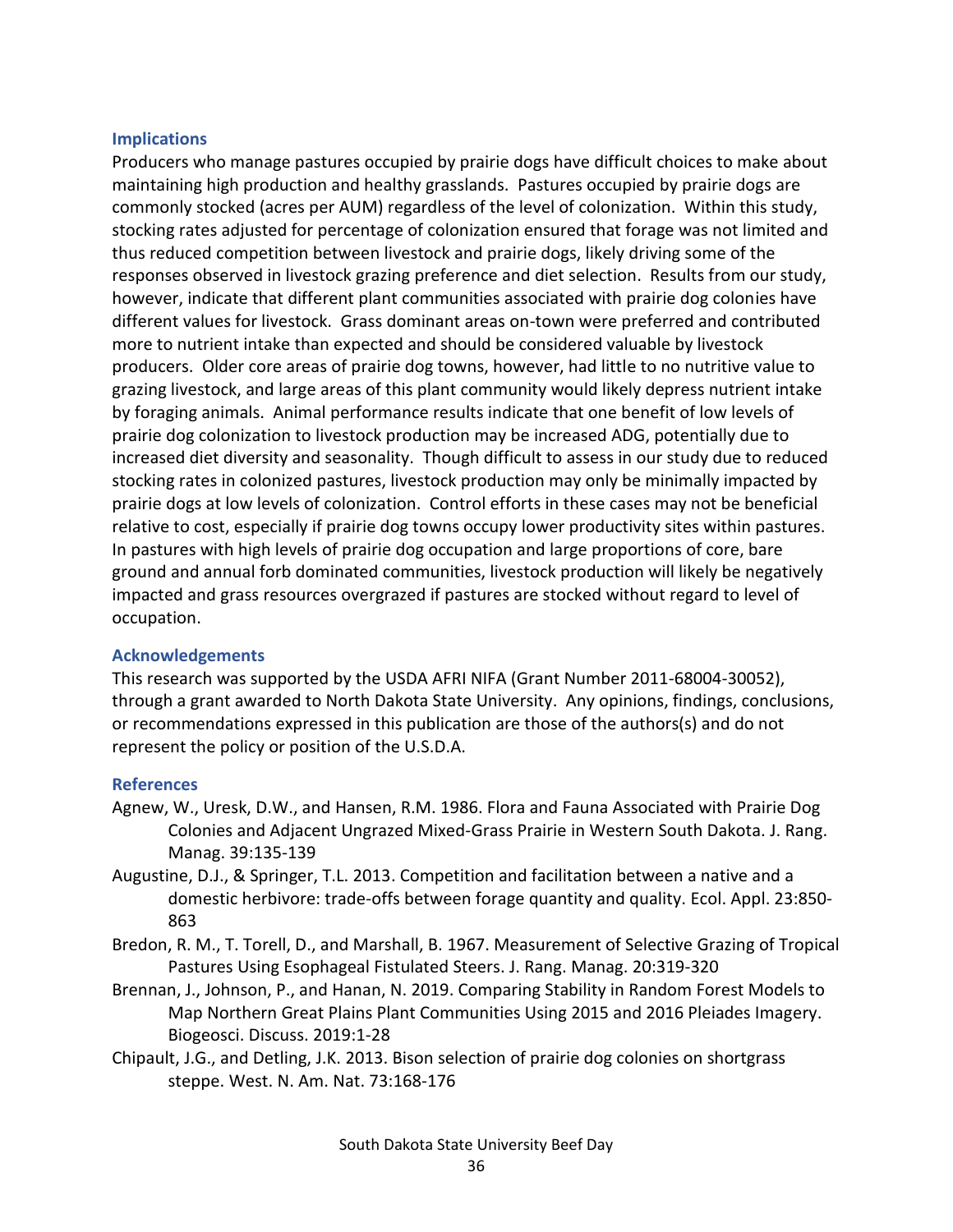#### **Implications**

Producers who manage pastures occupied by prairie dogs have difficult choices to make about maintaining high production and healthy grasslands. Pastures occupied by prairie dogs are commonly stocked (acres per AUM) regardless of the level of colonization. Within this study, stocking rates adjusted for percentage of colonization ensured that forage was not limited and thus reduced competition between livestock and prairie dogs, likely driving some of the responses observed in livestock grazing preference and diet selection. Results from our study, however, indicate that different plant communities associated with prairie dog colonies have different values for livestock. Grass dominant areas on-town were preferred and contributed more to nutrient intake than expected and should be considered valuable by livestock producers. Older core areas of prairie dog towns, however, had little to no nutritive value to grazing livestock, and large areas of this plant community would likely depress nutrient intake by foraging animals. Animal performance results indicate that one benefit of low levels of prairie dog colonization to livestock production may be increased ADG, potentially due to increased diet diversity and seasonality. Though difficult to assess in our study due to reduced stocking rates in colonized pastures, livestock production may only be minimally impacted by prairie dogs at low levels of colonization. Control efforts in these cases may not be beneficial relative to cost, especially if prairie dog towns occupy lower productivity sites within pastures. In pastures with high levels of prairie dog occupation and large proportions of core, bare ground and annual forb dominated communities, livestock production will likely be negatively impacted and grass resources overgrazed if pastures are stocked without regard to level of occupation.

#### **Acknowledgements**

This research was supported by the USDA AFRI NIFA (Grant Number 2011-68004-30052), through a grant awarded to North Dakota State University. Any opinions, findings, conclusions, or recommendations expressed in this publication are those of the authors(s) and do not represent the policy or position of the U.S.D.A.

#### **References**

- Agnew, W., Uresk, D.W., and Hansen, R.M. 1986. Flora and Fauna Associated with Prairie Dog Colonies and Adjacent Ungrazed Mixed-Grass Prairie in Western South Dakota. J. Rang. Manag. 39:135-139
- Augustine, D.J., & Springer, T.L. 2013. Competition and facilitation between a native and a domestic herbivore: trade-offs between forage quantity and quality. Ecol. Appl. 23:850- 863
- Bredon, R. M., T. Torell, D., and Marshall, B. 1967. Measurement of Selective Grazing of Tropical Pastures Using Esophageal Fistulated Steers. J. Rang. Manag. 20:319-320
- Brennan, J., Johnson, P., and Hanan, N. 2019. Comparing Stability in Random Forest Models to Map Northern Great Plains Plant Communities Using 2015 and 2016 Pleiades Imagery. Biogeosci. Discuss. 2019:1-28
- Chipault, J.G., and Detling, J.K. 2013. Bison selection of prairie dog colonies on shortgrass steppe. West. N. Am. Nat. 73:168-176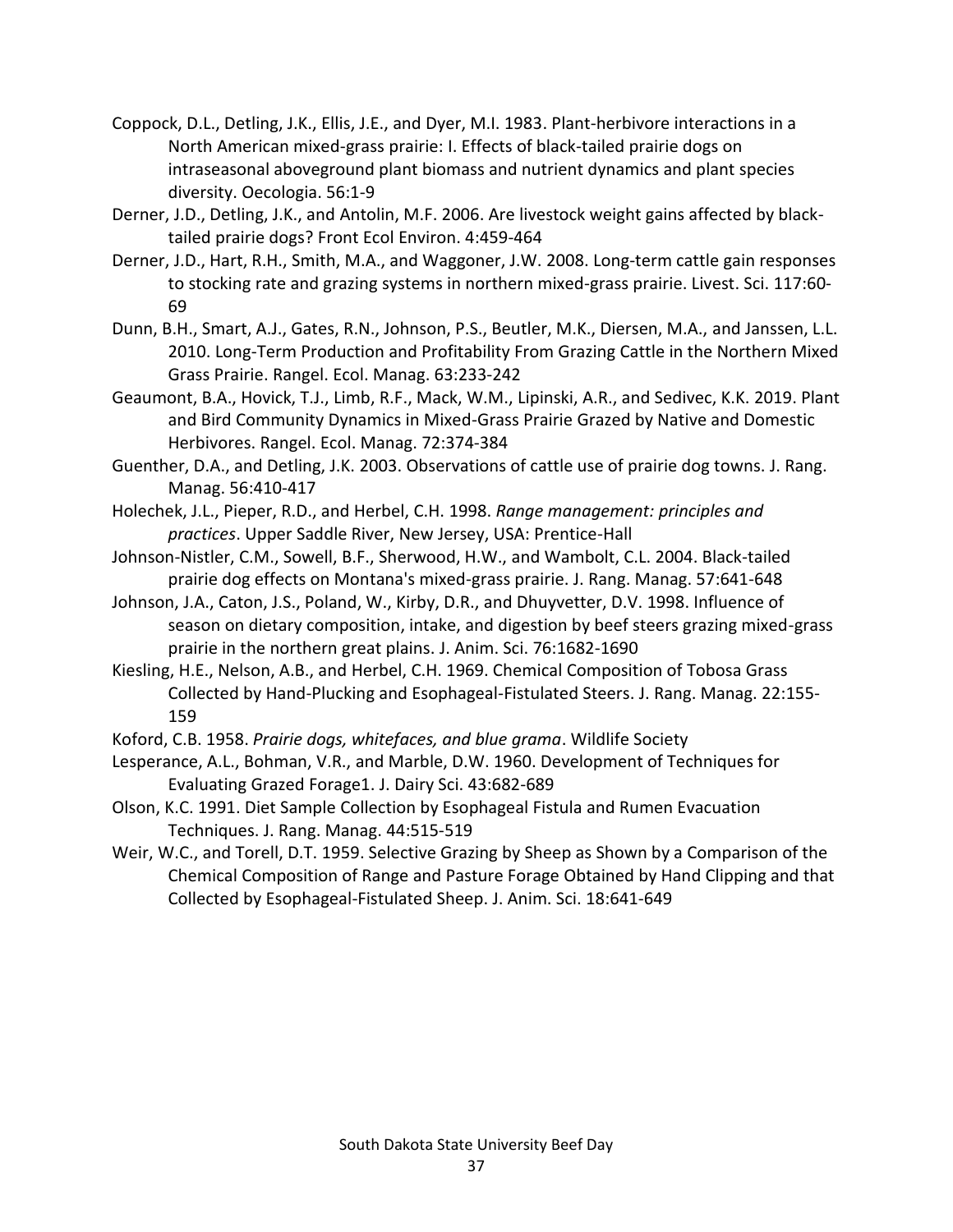- Coppock, D.L., Detling, J.K., Ellis, J.E., and Dyer, M.I. 1983. Plant-herbivore interactions in a North American mixed-grass prairie: I. Effects of black-tailed prairie dogs on intraseasonal aboveground plant biomass and nutrient dynamics and plant species diversity. Oecologia. 56:1-9
- Derner, J.D., Detling, J.K., and Antolin, M.F. 2006. Are livestock weight gains affected by blacktailed prairie dogs? Front Ecol Environ. 4:459-464
- Derner, J.D., Hart, R.H., Smith, M.A., and Waggoner, J.W. 2008. Long-term cattle gain responses to stocking rate and grazing systems in northern mixed-grass prairie. Livest. Sci. 117:60- 69
- Dunn, B.H., Smart, A.J., Gates, R.N., Johnson, P.S., Beutler, M.K., Diersen, M.A., and Janssen, L.L. 2010. Long-Term Production and Profitability From Grazing Cattle in the Northern Mixed Grass Prairie. Rangel. Ecol. Manag. 63:233-242
- Geaumont, B.A., Hovick, T.J., Limb, R.F., Mack, W.M., Lipinski, A.R., and Sedivec, K.K. 2019. Plant and Bird Community Dynamics in Mixed-Grass Prairie Grazed by Native and Domestic Herbivores. Rangel. Ecol. Manag. 72:374-384
- Guenther, D.A., and Detling, J.K. 2003. Observations of cattle use of prairie dog towns. J. Rang. Manag. 56:410-417
- Holechek, J.L., Pieper, R.D., and Herbel, C.H. 1998. *Range management: principles and practices*. Upper Saddle River, New Jersey, USA: Prentice-Hall
- Johnson-Nistler, C.M., Sowell, B.F., Sherwood, H.W., and Wambolt, C.L. 2004. Black-tailed prairie dog effects on Montana's mixed-grass prairie. J. Rang. Manag. 57:641-648
- Johnson, J.A., Caton, J.S., Poland, W., Kirby, D.R., and Dhuyvetter, D.V. 1998. Influence of season on dietary composition, intake, and digestion by beef steers grazing mixed-grass prairie in the northern great plains. J. Anim. Sci. 76:1682-1690
- Kiesling, H.E., Nelson, A.B., and Herbel, C.H. 1969. Chemical Composition of Tobosa Grass Collected by Hand-Plucking and Esophageal-Fistulated Steers. J. Rang. Manag. 22:155- 159
- Koford, C.B. 1958. *Prairie dogs, whitefaces, and blue grama*. Wildlife Society

Lesperance, A.L., Bohman, V.R., and Marble, D.W. 1960. Development of Techniques for Evaluating Grazed Forage1. J. Dairy Sci. 43:682-689

- Olson, K.C. 1991. Diet Sample Collection by Esophageal Fistula and Rumen Evacuation Techniques. J. Rang. Manag. 44:515-519
- Weir, W.C., and Torell, D.T. 1959. Selective Grazing by Sheep as Shown by a Comparison of the Chemical Composition of Range and Pasture Forage Obtained by Hand Clipping and that Collected by Esophageal-Fistulated Sheep. J. Anim. Sci. 18:641-649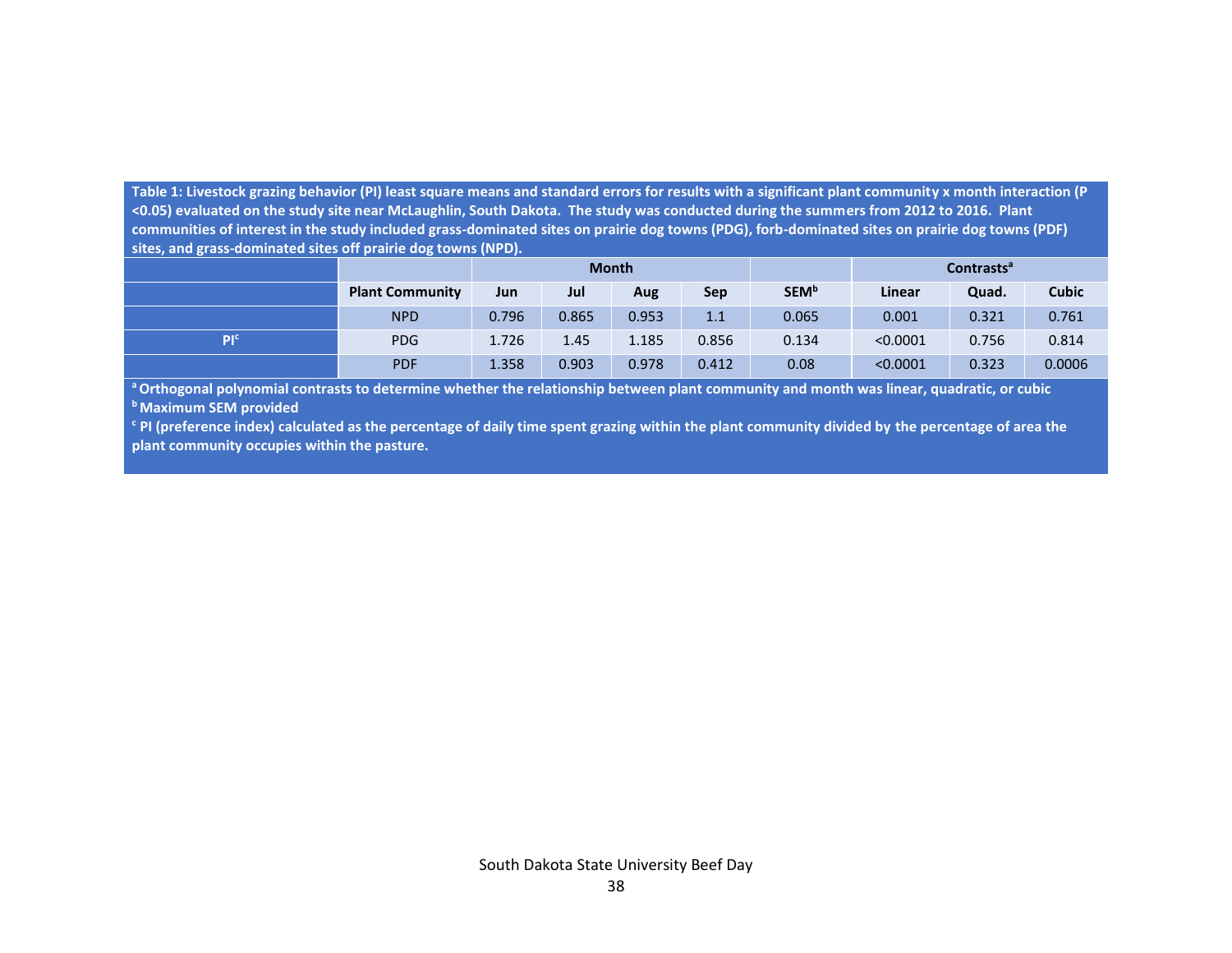**Table 1: Livestock grazing behavior (PI) least square means and standard errors for results with a significant plant community x month interaction (P <0.05) evaluated on the study site near McLaughlin, South Dakota. The study was conducted during the summers from 2012 to 2016. Plant communities of interest in the study included grass-dominated sites on prairie dog towns (PDG), forb-dominated sites on prairie dog towns (PDF) sites, and grass-dominated sites off prairie dog towns (NPD).** 

|                 |                        | <b>Month</b> |       |       |       |              | <b>Contrasts<sup>a</sup></b> |       |              |
|-----------------|------------------------|--------------|-------|-------|-------|--------------|------------------------------|-------|--------------|
|                 | <b>Plant Community</b> | Jun          | Jul   | Aug   | Sep   | <b>SEM</b> b | <b>Linear</b>                | Quad. | <b>Cubic</b> |
|                 | <b>NPD</b>             | 0.796        | 0.865 | 0.953 | 1.1   | 0.065        | 0.001                        | 0.321 | 0.761        |
| PI <sup>c</sup> | <b>PDG</b>             | 1.726        | 1.45  | 1.185 | 0.856 | 0.134        | < 0.0001                     | 0.756 | 0.814        |
|                 | <b>PDF</b>             | 1.358        | 0.903 | 0.978 | 0.412 | 0.08         | < 0.0001                     | 0.323 | 0.0006       |

**<sup>a</sup>Orthogonal polynomial contrasts to determine whether the relationship between plant community and month was linear, quadratic, or cubic <sup>b</sup>Maximum SEM provided**

**<sup>c</sup> PI (preference index) calculated as the percentage of daily time spent grazing within the plant community divided by the percentage of area the plant community occupies within the pasture.**